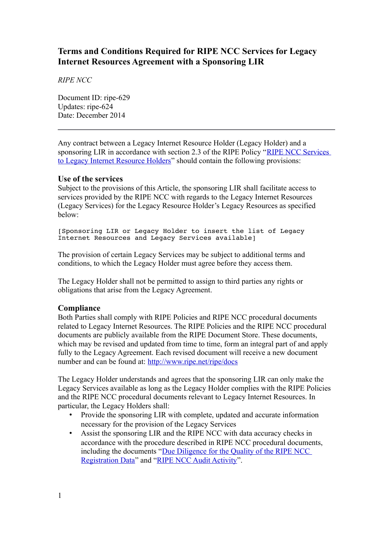# **Terms and Conditions Required for RIPE NCC Services for Legacy Internet Resources Agreement with a Sponsoring LIR**

*RIPE NCC*

Document ID: ripe-629 Updates: ripe-624 Date: December 2014

Any contract between a Legacy Internet Resource Holder (Legacy Holder) and a sponsoring LIR in accordance with section 2.3 of the RIPE Policy "[RIPE NCC Services](https://www.ripe.net/ripe/docs/ripe-605)  [to Legacy Internet Resource Holders"](https://www.ripe.net/ripe/docs/ripe-605) should contain the following provisions:

### **Use of the services**

Subject to the provisions of this Article, the sponsoring LIR shall facilitate access to services provided by the RIPE NCC with regards to the Legacy Internet Resources (Legacy Services) for the Legacy Resource Holder's Legacy Resources as specified below:

[Sponsoring LIR or Legacy Holder to insert the list of Legacy Internet Resources and Legacy Services available]

The provision of certain Legacy Services may be subject to additional terms and conditions, to which the Legacy Holder must agree before they access them.

The Legacy Holder shall not be permitted to assign to third parties any rights or obligations that arise from the Legacy Agreement.

## **Compliance**

Both Parties shall comply with RIPE Policies and RIPE NCC procedural documents related to Legacy Internet Resources. The RIPE Policies and the RIPE NCC procedural documents are publicly available from the RIPE Document Store. These documents, which may be revised and updated from time to time, form an integral part of and apply fully to the Legacy Agreement. Each revised document will receive a new document number and can be found at:<http://www.ripe.net/ripe/docs>

The Legacy Holder understands and agrees that the sponsoring LIR can only make the Legacy Services available as long as the Legacy Holder complies with the RIPE Policies and the RIPE NCC procedural documents relevant to Legacy Internet Resources. In particular, the Legacy Holders shall:

- Provide the sponsoring LIR with complete, updated and accurate information necessary for the provision of the Legacy Services
- Assist the sponsoring LIR and the RIPE NCC with data accuracy checks in accordance with the procedure described in RIPE NCC procedural documents, including the documents ["Due Diligence for the Quality of the RIPE NCC](https://www.ripe.net/ripe/docs/due-diligence)  [Registration Data"](https://www.ripe.net/ripe/docs/due-diligence) and ["RIPE NCC Audit Activity"](https://www.ripe.net/ripe/docs/audit).